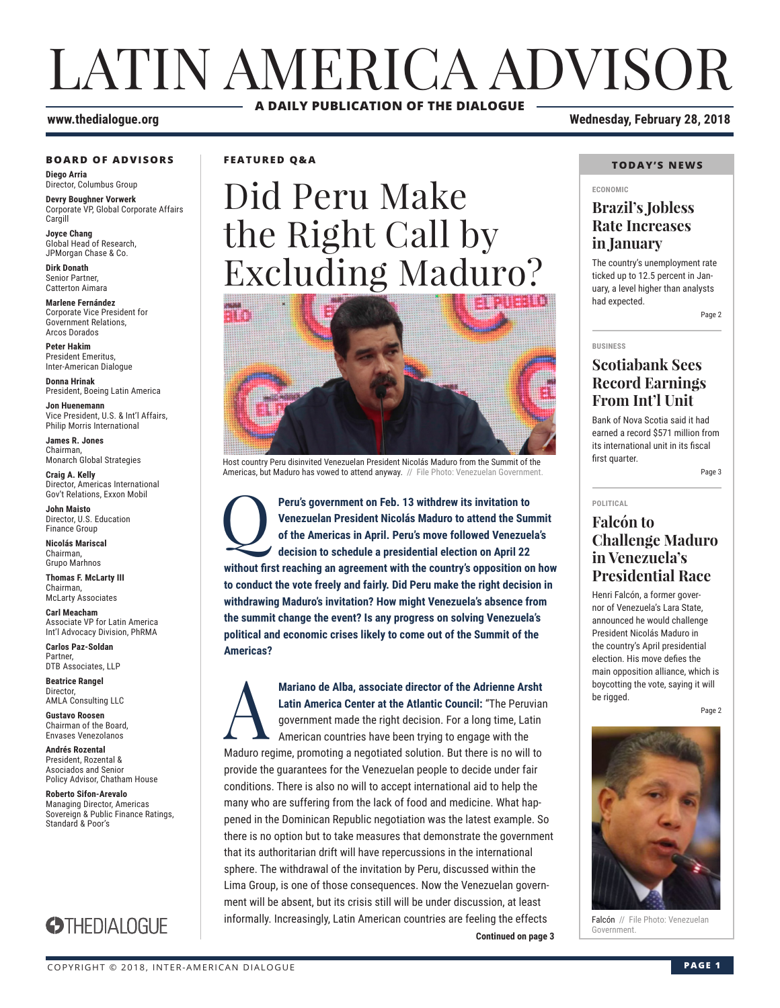### LATIN AMERICA ADVISOR **A DAILY PUBLICATION OF THE DIALOGUE**

#### **BOARD OF ADVISORS**

**Diego Arria** Director, Columbus Group

**Devry Boughner Vorwerk** Corporate VP, Global Corporate Affairs **Cargill** 

**Joyce Chang** Global Head of Research, JPMorgan Chase & Co.

**Dirk Donath** Senior Partner, Catterton Aimara

**Marlene Fernández** Corporate Vice President for Government Relations, Arcos Dorados

**Peter Hakim** President Emeritus, Inter-American Dialogue

**Donna Hrinak** President, Boeing Latin America

**Jon Huenemann** Vice President, U.S. & Int'l Affairs, Philip Morris International

**James R. Jones** Chairman, Monarch Global Strategies

**Craig A. Kelly** Director, Americas International Gov't Relations, Exxon Mobil

**John Maisto** Director, U.S. Education Finance Group

**Nicolás Mariscal** Chairman, Grupo Marhnos

**Thomas F. McLarty III** Chairman, McLarty Associates

**Carl Meacham** Associate VP for Latin America Int'l Advocacy Division, PhRMA

**Carlos Paz-Soldan** Partner, DTB Associates, LLP

**Beatrice Rangel Director** AMLA Consulting LLC

**Gustavo Roosen** Chairman of the Board, Envases Venezolanos

**Andrés Rozental**  President, Rozental & Asociados and Senior Policy Advisor, Chatham House

**Roberto Sifon-Arevalo** Managing Director, Americas Sovereign & Public Finance Ratings, Standard & Poor's



**FEATURED Q&A**

## Did Peru Make the Right Call by Excluding Maduro?



Host country Peru disinvited Venezuelan President Nicolás Maduro from the Summit of the Americas, but Maduro has vowed to attend anyway. // File Photo: Venezuelan Government.

**Peru's government on Feb. 13 withdrew its invitation to Venezuelan President Nicolás Maduro to attend the Sun of the Americas in April. Peru's move followed Venezuel decision to schedule a presidential election on April 2 Venezuelan President Nicolás Maduro to attend the Summit of the Americas in April. Peru's move followed Venezuela's decision to schedule a presidential election on April 22 without first reaching an agreement with the country's opposition on how to conduct the vote freely and fairly. Did Peru make the right decision in withdrawing Maduro's invitation? How might Venezuela's absence from the summit change the event? Is any progress on solving Venezuela's political and economic crises likely to come out of the Summit of the Americas?**

**Continued on page 3** Mariano de Alba, associate director of the Adrienne Arsht<br>Latin America Center at the Atlantic Council: "The Peruviar<br>government made the right decision. For a long time, Latin<br>American countries have been trying to engage **Latin America Center at the Atlantic Council:** "The Peruvian government made the right decision. For a long time, Latin American countries have been trying to engage with the Maduro regime, promoting a negotiated solution. But there is no will to provide the guarantees for the Venezuelan people to decide under fair conditions. There is also no will to accept international aid to help the many who are suffering from the lack of food and medicine. What happened in the Dominican Republic negotiation was the latest example. So there is no option but to take measures that demonstrate the government that its authoritarian drift will have repercussions in the international sphere. The withdrawal of the invitation by Peru, discussed within the Lima Group, is one of those consequences. Now the Venezuelan government will be absent, but its crisis still will be under discussion, at least informally. Increasingly, Latin American countries are feeling the effects

**www.thedialogue.org Wednesday, February 28, 2018**

#### **TODAY'S NEWS**

#### **ECONOMIC**

#### **Brazil's Jobless Rate Increases in January**

The country's unemployment rate ticked up to 12.5 percent in January, a level higher than analysts had expected.

Page 2

**BUSINESS**

#### **Scotiabank Sees Record Earnings From Int'l Unit**

Bank of Nova Scotia said it had earned a record \$571 million from its international unit in its fiscal first quarter.

Page 3

#### **POLITICAL**

#### **Falcón to Challenge Maduro in Venezuela's Presidential Race**

Henri Falcón, a former governor of Venezuela's Lara State, announced he would challenge President Nicolás Maduro in the country's April presidential election. His move defies the main opposition alliance, which is boycotting the vote, saying it will be rigged.

Page 2



Falcón // File Photo: Venezuelan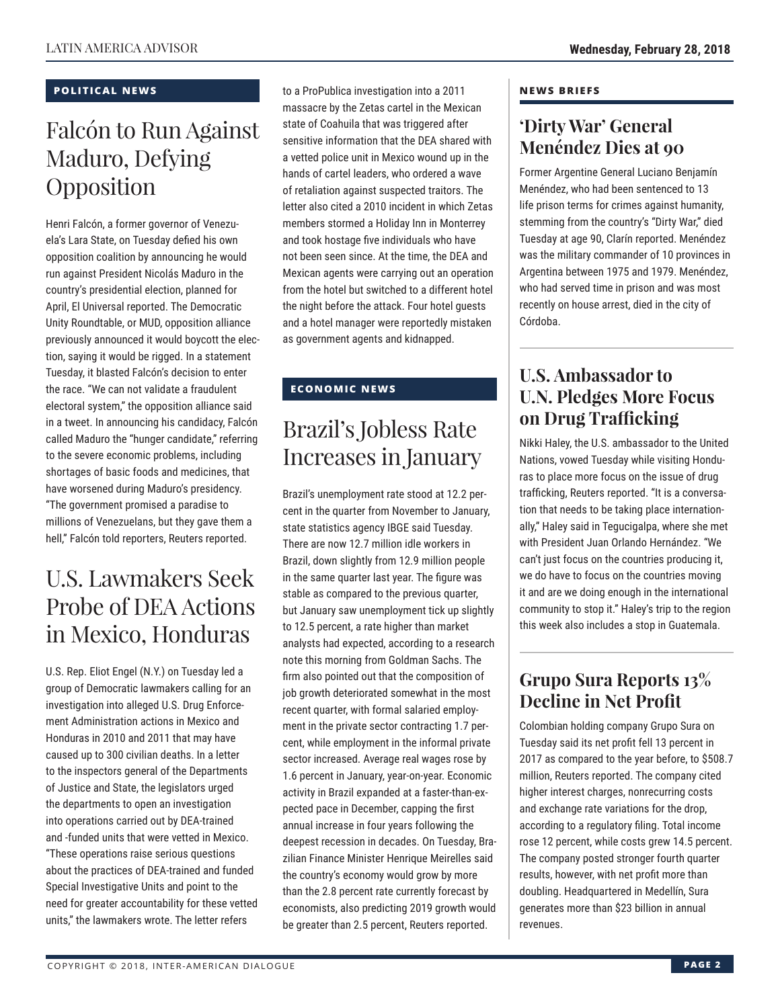#### **POLITICAL NEWS**

### Falcón to Run Against Maduro, Defying Opposition

Henri Falcón, a former governor of Venezuela's Lara State, on Tuesday defied his own opposition coalition by announcing he would run against President Nicolás Maduro in the country's presidential election, planned for April, El Universal reported. The Democratic Unity Roundtable, or MUD, opposition alliance previously announced it would boycott the election, saying it would be rigged. In a statement Tuesday, it blasted Falcón's decision to enter the race. "We can not validate a fraudulent electoral system," the opposition alliance said in a tweet. In announcing his candidacy, Falcón called Maduro the "hunger candidate," referring to the severe economic problems, including shortages of basic foods and medicines, that have worsened during Maduro's presidency. "The government promised a paradise to millions of Venezuelans, but they gave them a hell," Falcón told reporters, Reuters reported.

### U.S. Lawmakers Seek Probe of DEA Actions in Mexico, Honduras

U.S. Rep. Eliot Engel (N.Y.) on Tuesday led a group of Democratic lawmakers calling for an investigation into alleged U.S. Drug Enforcement Administration actions in Mexico and Honduras in 2010 and 2011 that may have caused up to 300 civilian deaths. In a letter to the inspectors general of the Departments of Justice and State, the legislators urged the departments to open an investigation into operations carried out by DEA-trained and -funded units that were vetted in Mexico. "These operations raise serious questions about the practices of DEA-trained and funded Special Investigative Units and point to the need for greater accountability for these vetted units," the lawmakers wrote. The letter refers

to a ProPublica investigation into a 2011 massacre by the Zetas cartel in the Mexican state of Coahuila that was triggered after sensitive information that the DEA shared with a vetted police unit in Mexico wound up in the hands of cartel leaders, who ordered a wave of retaliation against suspected traitors. The letter also cited a 2010 incident in which Zetas members stormed a Holiday Inn in Monterrey and took hostage five individuals who have not been seen since. At the time, the DEA and Mexican agents were carrying out an operation from the hotel but switched to a different hotel the night before the attack. Four hotel guests and a hotel manager were reportedly mistaken as government agents and kidnapped.

#### **ECONOMIC NEWS**

### Brazil's Jobless Rate Increases in January

Brazil's unemployment rate stood at 12.2 percent in the quarter from November to January, state statistics agency IBGE said Tuesday. There are now 12.7 million idle workers in Brazil, down slightly from 12.9 million people in the same quarter last year. The figure was stable as compared to the previous quarter, but January saw unemployment tick up slightly to 12.5 percent, a rate higher than market analysts had expected, according to a research note this morning from Goldman Sachs. The firm also pointed out that the composition of job growth deteriorated somewhat in the most recent quarter, with formal salaried employment in the private sector contracting 1.7 percent, while employment in the informal private sector increased. Average real wages rose by 1.6 percent in January, year-on-year. Economic activity in Brazil expanded at a faster-than-expected pace in December, capping the first annual increase in four years following the deepest recession in decades. On Tuesday, Brazilian Finance Minister Henrique Meirelles said the country's economy would grow by more than the 2.8 percent rate currently forecast by economists, also predicting 2019 growth would be greater than 2.5 percent, Reuters reported.

#### **NEWS BRIEFS**

#### **'Dirty War' General Menéndez Dies at 90**

Former Argentine General Luciano Benjamín Menéndez, who had been sentenced to 13 life prison terms for crimes against humanity, stemming from the country's "Dirty War," died Tuesday at age 90, Clarín reported. Menéndez was the military commander of 10 provinces in Argentina between 1975 and 1979. Menéndez, who had served time in prison and was most recently on house arrest, died in the city of Córdoba.

#### **U.S. Ambassador to U.N. Pledges More Focus on Drug Trafficking**

Nikki Haley, the U.S. ambassador to the United Nations, vowed Tuesday while visiting Honduras to place more focus on the issue of drug trafficking, Reuters reported. "It is a conversation that needs to be taking place internationally," Haley said in Tegucigalpa, where she met with President Juan Orlando Hernández. "We can't just focus on the countries producing it, we do have to focus on the countries moving it and are we doing enough in the international community to stop it." Haley's trip to the region this week also includes a stop in Guatemala.

### **Grupo Sura Reports 13% Decline in Net Profit**

Colombian holding company Grupo Sura on Tuesday said its net profit fell 13 percent in 2017 as compared to the year before, to \$508.7 million, Reuters reported. The company cited higher interest charges, nonrecurring costs and exchange rate variations for the drop, according to a regulatory filing. Total income rose 12 percent, while costs grew 14.5 percent. The company posted stronger fourth quarter results, however, with net profit more than doubling. Headquartered in Medellín, Sura generates more than \$23 billion in annual revenues.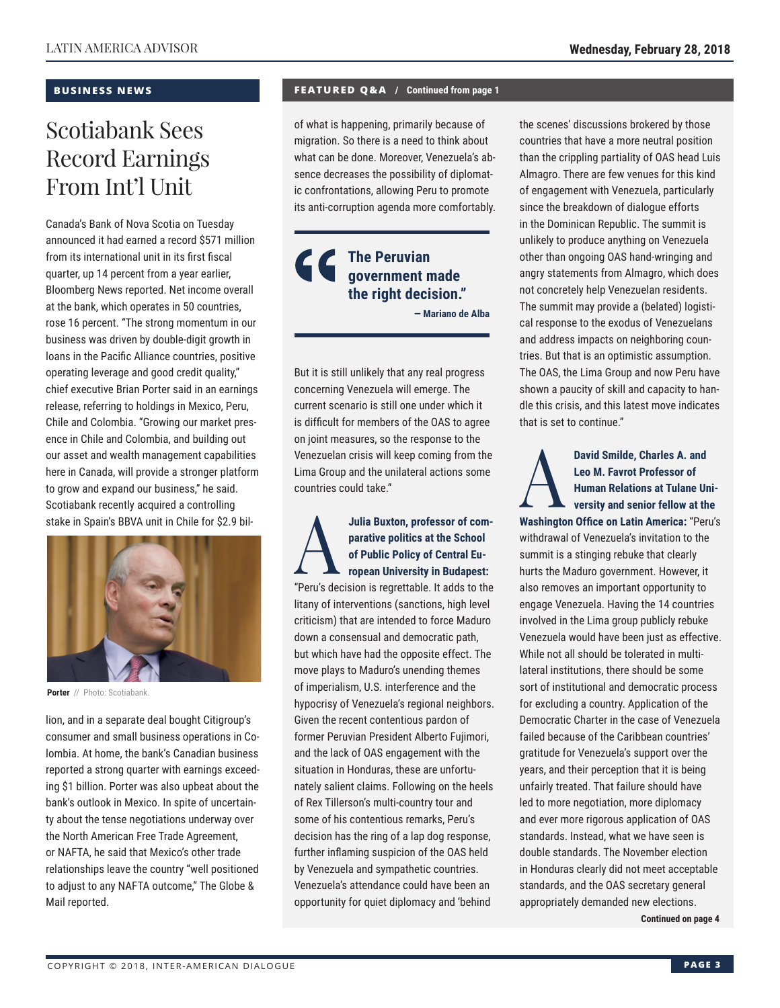#### **BUSINESS NEWS**

### Scotiabank Sees Record Earnings From Int'l Unit

Canada's Bank of Nova Scotia on Tuesday announced it had earned a record \$571 million from its international unit in its first fiscal quarter, up 14 percent from a year earlier, Bloomberg News reported. Net income overall at the bank, which operates in 50 countries, rose 16 percent. "The strong momentum in our business was driven by double-digit growth in loans in the Pacific Alliance countries, positive operating leverage and good credit quality," chief executive Brian Porter said in an earnings release, referring to holdings in Mexico, Peru, Chile and Colombia. "Growing our market presence in Chile and Colombia, and building out our asset and wealth management capabilities here in Canada, will provide a stronger platform to grow and expand our business," he said. Scotiabank recently acquired a controlling stake in Spain's BBVA unit in Chile for \$2.9 bil-



**Porter** // Photo: Scotiabank.

lion, and in a separate deal bought Citigroup's consumer and small business operations in Colombia. At home, the bank's Canadian business reported a strong quarter with earnings exceeding \$1 billion. Porter was also upbeat about the bank's outlook in Mexico. In spite of uncertainty about the tense negotiations underway over the North American Free Trade Agreement, or NAFTA, he said that Mexico's other trade relationships leave the country "well positioned to adjust to any NAFTA outcome," The Globe & Mail reported.

#### **FEATURED Q&A / Continued from page 1**

of what is happening, primarily because of migration. So there is a need to think about what can be done. Moreover, Venezuela's absence decreases the possibility of diplomatic confrontations, allowing Peru to promote its anti-corruption agenda more comfortably.

#### **The Peruvian government made the right decision." — Mariano de Alba**

But it is still unlikely that any real progress concerning Venezuela will emerge. The current scenario is still one under which it is difficult for members of the OAS to agree on joint measures, so the response to the Venezuelan crisis will keep coming from the Lima Group and the unilateral actions some countries could take."

#### Julia Buxton, professor of com-<br>
parative politics at the School<br>
of Public Policy of Central European University in Budapest:<br>
"Deru's decision is regrettable, it edds to the **parative politics at the School of Public Policy of Central European University in Budapest:**

"Peru's decision is regrettable. It adds to the litany of interventions (sanctions, high level criticism) that are intended to force Maduro down a consensual and democratic path, but which have had the opposite effect. The move plays to Maduro's unending themes of imperialism, U.S. interference and the hypocrisy of Venezuela's regional neighbors. Given the recent contentious pardon of former Peruvian President Alberto Fujimori, and the lack of OAS engagement with the situation in Honduras, these are unfortunately salient claims. Following on the heels of Rex Tillerson's multi-country tour and some of his contentious remarks, Peru's decision has the ring of a lap dog response, further inflaming suspicion of the OAS held by Venezuela and sympathetic countries. Venezuela's attendance could have been an opportunity for quiet diplomacy and 'behind

the scenes' discussions brokered by those countries that have a more neutral position than the crippling partiality of OAS head Luis Almagro. There are few venues for this kind of engagement with Venezuela, particularly since the breakdown of dialogue efforts in the Dominican Republic. The summit is unlikely to produce anything on Venezuela other than ongoing OAS hand-wringing and angry statements from Almagro, which does not concretely help Venezuelan residents. The summit may provide a (belated) logistical response to the exodus of Venezuelans and address impacts on neighboring countries. But that is an optimistic assumption. The OAS, the Lima Group and now Peru have shown a paucity of skill and capacity to handle this crisis, and this latest move indicates that is set to continue."

David Smilde, Charles A. and<br>Leo M. Favrot Professor of<br>Human Relations at Tulane Ur<br>versity and senior fellow at the<br>Washington Office on Latin America: "Per **Leo M. Favrot Professor of Human Relations at Tulane University and senior fellow at the Washington Office on Latin America:** "Peru's withdrawal of Venezuela's invitation to the summit is a stinging rebuke that clearly hurts the Maduro government. However, it also removes an important opportunity to engage Venezuela. Having the 14 countries involved in the Lima group publicly rebuke Venezuela would have been just as effective. While not all should be tolerated in multilateral institutions, there should be some sort of institutional and democratic process for excluding a country. Application of the Democratic Charter in the case of Venezuela failed because of the Caribbean countries' gratitude for Venezuela's support over the years, and their perception that it is being unfairly treated. That failure should have led to more negotiation, more diplomacy and ever more rigorous application of OAS standards. Instead, what we have seen is double standards. The November election in Honduras clearly did not meet acceptable standards, and the OAS secretary general appropriately demanded new elections.

**Continued on page 4**